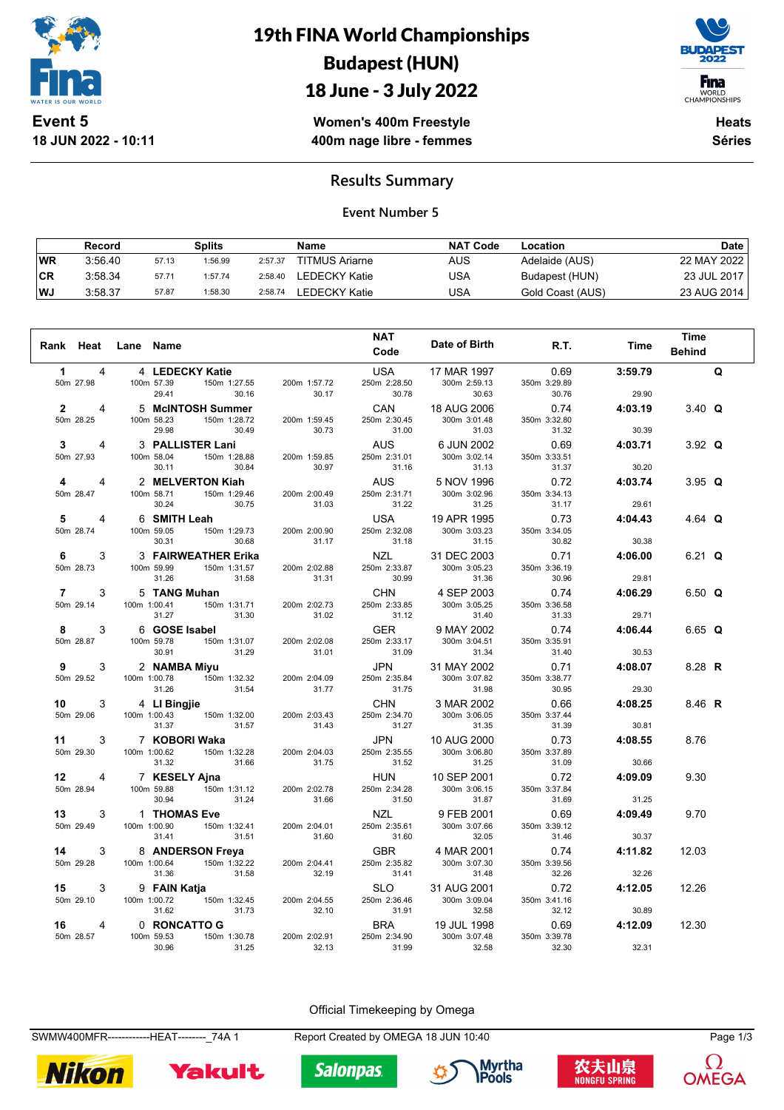

**18 JUN 2022 - 10:11**

19th FINA World Championships Budapest (HUN) 18 June - 3 July 2022



WORLD<br>CHAMPIONSHIPS

**Women's 400m Freestyle 400m nage libre - femmes**

**Heats Séries**

### **Results Summary**

#### **Event Number 5**

|     | Record  |       | Splits  |         | <b>Name</b>           | <b>NAT Code</b> | Location         | <b>Date</b> |
|-----|---------|-------|---------|---------|-----------------------|-----------------|------------------|-------------|
| WR  | 3:56.40 | 57.13 | 1:56.99 | 2:57.37 | <b>TITMUS Ariarne</b> | AUS             | Adelaide (AUS)   | 22 MAY 2022 |
| ∣CR | 3:58.34 | 57.71 | 1:57.74 | 2:58.40 | LEDECKY Katie         | USA             | Budapest (HUN)   | 23 JUL 2017 |
| WJ  | 3:58.37 | 57.87 | 1:58.30 | 2:58.74 | LEDECKY Katie         | USA             | Gold Coast (AUS) | 23 AUG 2014 |

| Rank Heat                      | Lane Name    |                     |                       |                       | <b>NAT</b>                 | Date of Birth               | R.T.                  | Time    | <b>Time</b>   |   |
|--------------------------------|--------------|---------------------|-----------------------|-----------------------|----------------------------|-----------------------------|-----------------------|---------|---------------|---|
|                                |              |                     |                       |                       | Code                       |                             |                       |         | <b>Behind</b> |   |
| $\mathbf{1}$<br>4              |              | 4 LEDECKY Katie     |                       |                       | <b>USA</b>                 | 17 MAR 1997                 | 0.69                  | 3:59.79 |               | Q |
| 50m 27.98                      |              | 100m 57.39<br>29.41 | 150m 1:27.55<br>30.16 | 200m 1:57.72<br>30.17 | 250m 2:28.50<br>30.78      | 300m 2:59.13<br>30.63       | 350m 3:29.89<br>30.76 | 29.90   |               |   |
| $\mathbf{2}$<br>$\overline{4}$ |              |                     | 5 McINTOSH Summer     |                       | CAN                        | 18 AUG 2006                 | 0.74                  | 4:03.19 | 3.40 $Q$      |   |
| 50m 28.25                      |              | 100m 58.23<br>29.98 | 150m 1:28.72<br>30.49 | 200m 1:59.45<br>30.73 | 250m 2:30.45<br>31.00      | 300m 3:01.48<br>31.03       | 350m 3:32.80<br>31.32 | 30.39   |               |   |
| 3<br>4                         |              | 3 PALLISTER Lani    |                       |                       | AUS                        | 6 JUN 2002                  | 0.69                  | 4:03.71 | 3.92 $Q$      |   |
| 50m 27.93                      |              | 100m 58.04<br>30.11 | 150m 1:28.88<br>30.84 | 200m 1:59.85<br>30.97 | 250m 2:31.01<br>31.16      | 300m 3:02.14<br>31.13       | 350m 3:33.51<br>31.37 | 30.20   |               |   |
| 4<br>4                         |              | 2 MELVERTON Kiah    |                       |                       | <b>AUS</b>                 | 5 NOV 1996                  | 0.72                  | 4:03.74 | $3.95$ Q      |   |
| 50m 28.47                      |              | 100m 58.71          | 150m 1:29.46          | 200m 2:00.49          | 250m 2:31.71               | 300m 3:02.96                | 350m 3:34.13          |         |               |   |
|                                |              | 30.24               | 30.75                 | 31.03                 | 31.22                      | 31.25                       | 31.17                 | 29.61   |               |   |
| 5<br>4                         |              | 6 SMITH Leah        |                       |                       | <b>USA</b>                 | 19 APR 1995                 | 0.73                  | 4:04.43 | 4.64 Q        |   |
| 50m 28.74                      |              | 100m 59.05<br>30.31 | 150m 1:29.73<br>30.68 | 200m 2:00.90<br>31.17 | 250m 2:32.08<br>31.18      | 300m 3:03.23<br>31.15       | 350m 3:34.05<br>30.82 | 30.38   |               |   |
| 3<br>6                         |              |                     | 3 FAIRWEATHER Erika   |                       | <b>NZL</b>                 | 31 DEC 2003                 | 0.71                  | 4:06.00 | 6.21 $Q$      |   |
| 50m 28.73                      |              | 100m 59.99          | 150m 1:31.57          | 200m 2:02.88          | 250m 2:33.87               | 300m 3:05.23                | 350m 3:36.19          |         |               |   |
|                                |              | 31.26               | 31.58                 | 31.31                 | 30.99                      | 31.36                       | 30.96                 | 29.81   |               |   |
| $\overline{7}$<br>3            |              | 5 TANG Muhan        |                       |                       | <b>CHN</b>                 | 4 SEP 2003                  | 0.74                  | 4:06.29 | 6.50 $Q$      |   |
| 50m 29.14                      | 100m 1:00.41 | 31.27               | 150m 1:31.71<br>31.30 | 200m 2:02.73<br>31.02 | 250m 2:33.85<br>31.12      | 300m 3:05.25<br>31.40       | 350m 3:36.58<br>31.33 | 29.71   |               |   |
| 3<br>8                         |              | 6 GOSE Isabel       |                       |                       | <b>GER</b>                 | 9 MAY 2002                  | 0.74                  | 4:06.44 | 6.65 $Q$      |   |
| 50m 28.87                      |              | 100m 59.78          | 150m 1:31.07          | 200m 2:02.08          | 250m 2:33.17               | 300m 3:04.51                | 350m 3:35.91          |         |               |   |
|                                |              | 30.91               | 31.29                 | 31.01                 | 31.09                      | 31.34                       | 31.40                 | 30.53   |               |   |
| 3<br>9<br>50m 29.52            | 100m 1:00.78 | 2 NAMBA Miyu        | 150m 1:32.32          | 200m 2:04.09          | <b>JPN</b><br>250m 2:35.84 | 31 MAY 2002<br>300m 3:07.82 | 0.71<br>350m 3:38.77  | 4:08.07 | 8.28 R        |   |
|                                |              | 31.26               | 31.54                 | 31.77                 | 31.75                      | 31.98                       | 30.95                 | 29.30   |               |   |
| 10<br>3                        |              | 4 LI Bingjie        |                       |                       | <b>CHN</b>                 | 3 MAR 2002                  | 0.66                  | 4:08.25 | 8.46 R        |   |
| 50m 29.06                      | 100m 1:00.43 |                     | 150m 1:32.00          | 200m 2:03.43          | 250m 2:34.70               | 300m 3:06.05                | 350m 3:37.44          |         |               |   |
|                                |              | 31.37               | 31.57                 | 31.43                 | 31.27                      | 31.35                       | 31.39                 | 30.81   |               |   |
| 11<br>3<br>50m 29.30           | 100m 1:00.62 | 7 KOBORI Waka       | 150m 1:32.28          | 200m 2:04.03          | <b>JPN</b><br>250m 2:35.55 | 10 AUG 2000<br>300m 3:06.80 | 0.73<br>350m 3:37.89  | 4:08.55 | 8.76          |   |
|                                |              | 31.32               | 31.66                 | 31.75                 | 31.52                      | 31.25                       | 31.09                 | 30.66   |               |   |
| 12<br>4                        |              | 7 KESELY Ajna       |                       |                       | <b>HUN</b>                 | 10 SEP 2001                 | 0.72                  | 4:09.09 | 9.30          |   |
| 50m 28.94                      |              | 100m 59.88<br>30.94 | 150m 1:31.12<br>31.24 | 200m 2:02.78<br>31.66 | 250m 2:34.28<br>31.50      | 300m 3:06.15<br>31.87       | 350m 3:37.84<br>31.69 | 31.25   |               |   |
| 13<br>3                        |              | 1 THOMAS Eve        |                       |                       | <b>NZL</b>                 | 9 FEB 2001                  | 0.69                  | 4:09.49 | 9.70          |   |
| 50m 29.49                      | 100m 1:00.90 |                     | 150m 1:32.41          | 200m 2:04.01          | 250m 2:35.61               | 300m 3:07.66                | 350m 3:39.12          |         |               |   |
|                                |              | 31.41               | 31.51                 | 31.60                 | 31.60                      | 32.05                       | 31.46                 | 30.37   |               |   |
| 3<br>14                        |              | 8 ANDERSON Freya    |                       |                       | <b>GBR</b>                 | 4 MAR 2001                  | 0.74                  | 4:11.82 | 12.03         |   |
| 50m 29.28                      | 100m 1:00.64 | 31.36               | 150m 1:32.22<br>31.58 | 200m 2:04.41<br>32.19 | 250m 2:35.82<br>31.41      | 300m 3:07.30<br>31.48       | 350m 3:39.56<br>32.26 | 32.26   |               |   |
| 3<br>15                        |              | 9 FAIN Katja        |                       |                       | <b>SLO</b>                 | 31 AUG 2001                 | 0.72                  | 4:12.05 | 12.26         |   |
| 50m 29.10                      | 100m 1:00.72 |                     | 150m 1:32.45          | 200m 2:04.55          | 250m 2:36.46               | 300m 3:09.04                | 350m 3:41.16          |         |               |   |
|                                |              | 31.62               | 31.73                 | 32.10                 | 31.91                      | 32.58                       | 32.12                 | 30.89   |               |   |
| 16<br>4                        |              | 0 RONCATTO G        |                       |                       | <b>BRA</b>                 | 19 JUL 1998                 | 0.69                  | 4:12.09 | 12.30         |   |
| 50m 28.57                      |              | 100m 59.53<br>30.96 | 150m 1:30.78<br>31.25 | 200m 2:02.91<br>32.13 | 250m 2:34.90<br>31.99      | 300m 3:07.48<br>32.58       | 350m 3:39.78<br>32.30 | 32.31   |               |   |

#### Official Timekeeping by Omega

SWMW400MFR-------------HEAT--------\_74A 1 Report Created by OMEGA 18 JUN 10:40 Page 1/3











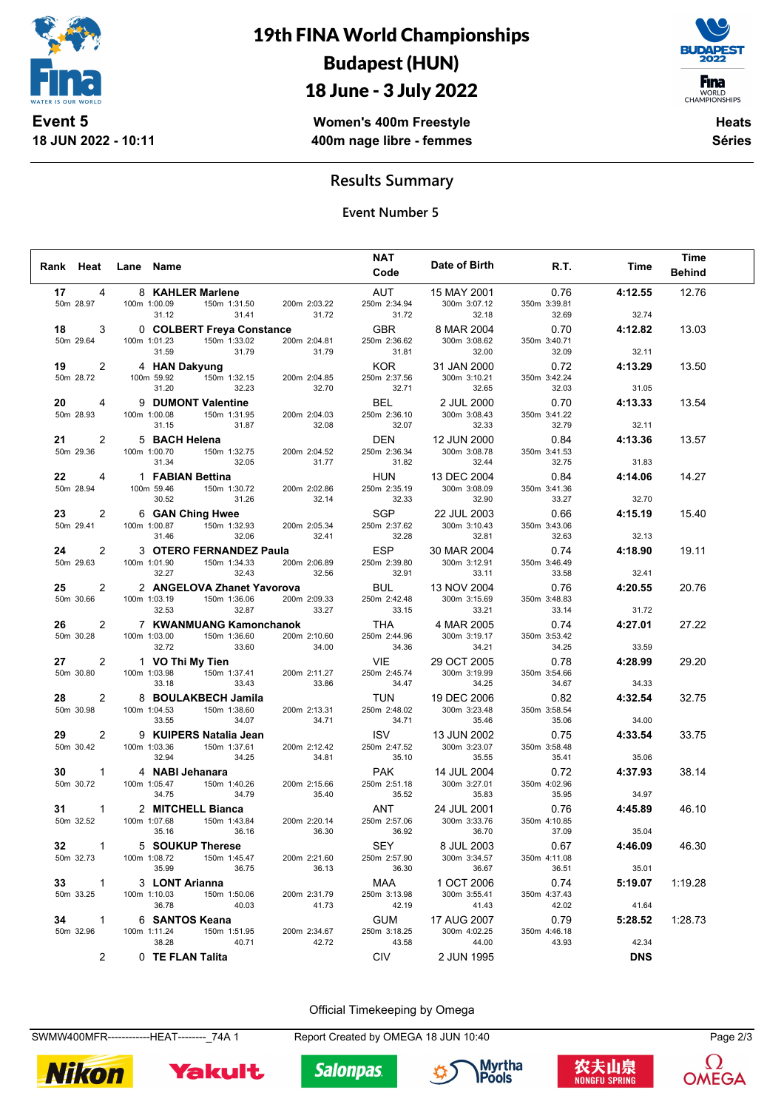

**18 JUN 2022 - 10:11**

19th FINA World Championships Budapest (HUN)

# 18 June - 3 July 2022



**Women's 400m Freestyle 400m nage libre - femmes**

**Heats Séries**

### **Results Summary**

**Event Number 5**

|                 |                |                                |                            |                       | <b>NAT</b>                 |                       |                       |            | <b>Time</b>   |
|-----------------|----------------|--------------------------------|----------------------------|-----------------------|----------------------------|-----------------------|-----------------------|------------|---------------|
| Rank Heat       |                | Lane Name                      |                            |                       | Code                       | Date of Birth         | R.T.                  | Time       | <b>Behind</b> |
| 17              | 4              |                                | 8 KAHLER Marlene           |                       | AUT                        | 15 MAY 2001           | 0.76                  | 4:12.55    | 12.76         |
| 50m 28.97       |                | 100m 1:00.09                   | 150m 1:31.50               | 200m 2:03.22          | 250m 2:34.94               | 300m 3:07.12          | 350m 3:39.81          |            |               |
|                 |                | 31.12                          | 31.41                      | 31.72                 | 31.72                      | 32.18                 | 32.69                 | 32.74      |               |
| 18              | 3              |                                | 0 COLBERT Freya Constance  |                       | <b>GBR</b>                 | 8 MAR 2004            | 0.70                  | 4:12.82    | 13.03         |
| 50m 29.64       |                | 100m 1:01.23                   | 150m 1:33.02               | 200m 2:04.81          | 250m 2:36.62               | 300m 3:08.62          | 350m 3:40.71          |            |               |
|                 |                | 31.59                          | 31.79                      | 31.79                 | 31.81                      | 32.00                 | 32.09                 | 32.11      |               |
| 19              | $\overline{2}$ | 4 HAN Dakyung                  |                            |                       | <b>KOR</b>                 | 31 JAN 2000           | 0.72                  | 4:13.29    | 13.50         |
| 50m 28.72       |                | 100m 59.92                     | 150m 1:32.15               | 200m 2:04.85          | 250m 2:37.56               | 300m 3:10.21          | 350m 3:42.24          |            |               |
|                 |                | 31.20                          | 32.23                      | 32.70                 | 32.71                      | 32.65                 | 32.03                 | 31.05      |               |
| 20              | 4              |                                | 9 DUMONT Valentine         |                       | <b>BEL</b>                 | 2 JUL 2000            | 0.70                  | 4:13.33    | 13.54         |
| 50m 28.93       |                | 100m 1:00.08                   | 150m 1:31.95               | 200m 2:04.03          | 250m 2:36.10               | 300m 3:08.43          | 350m 3:41.22          |            |               |
|                 |                | 31.15                          | 31.87                      | 32.08                 | 32.07                      | 32.33                 | 32.79                 | 32.11      |               |
| 21              | $\overline{2}$ | 5 BACH Helena                  |                            |                       | <b>DEN</b>                 | 12 JUN 2000           | 0.84                  | 4:13.36    | 13.57         |
| 50m 29.36       |                | 100m 1:00.70<br>31.34          | 150m 1:32.75<br>32.05      | 200m 2:04.52<br>31.77 | 250m 2:36.34<br>31.82      | 300m 3:08.78<br>32.44 | 350m 3:41.53<br>32.75 | 31.83      |               |
|                 |                |                                |                            |                       |                            |                       |                       |            |               |
| 22<br>50m 28.94 | 4              | 1 FABIAN Bettina<br>100m 59.46 |                            |                       | <b>HUN</b><br>250m 2:35.19 | 13 DEC 2004           | 0.84                  | 4:14.06    | 14.27         |
|                 |                | 30.52                          | 150m 1:30.72<br>31.26      | 200m 2:02.86<br>32.14 | 32.33                      | 300m 3:08.09<br>32.90 | 350m 3:41.36<br>33.27 | 32.70      |               |
| 23              | 2              |                                | 6 GAN Ching Hwee           |                       | SGP                        | 22 JUL 2003           | 0.66                  | 4:15.19    | 15.40         |
| 50m 29.41       |                | 100m 1:00.87                   | 150m 1:32.93               | 200m 2:05.34          | 250m 2:37.62               | 300m 3:10.43          | 350m 3:43.06          |            |               |
|                 |                | 31.46                          | 32.06                      | 32.41                 | 32.28                      | 32.81                 | 32.63                 | 32.13      |               |
| 24              | 2              |                                | 3 OTERO FERNANDEZ Paula    |                       | <b>ESP</b>                 | 30 MAR 2004           | 0.74                  | 4:18.90    | 19.11         |
| 50m 29.63       |                | 100m 1:01.90                   | 150m 1:34.33               | 200m 2:06.89          | 250m 2:39.80               | 300m 3:12.91          | 350m 3:46.49          |            |               |
|                 |                | 32.27                          | 32.43                      | 32.56                 | 32.91                      | 33.11                 | 33.58                 | 32.41      |               |
| 25              | 2              |                                | 2 ANGELOVA Zhanet Yavorova |                       | <b>BUL</b>                 | 13 NOV 2004           | 0.76                  | 4:20.55    | 20.76         |
| 50m 30.66       |                | 100m 1:03.19                   | 150m 1:36.06               | 200m 2:09.33          | 250m 2:42.48               | 300m 3:15.69          | 350m 3:48.83          |            |               |
|                 |                | 32.53                          | 32.87                      | 33.27                 | 33.15                      | 33.21                 | 33.14                 | 31.72      |               |
| 26              | 2              |                                | 7 KWANMUANG Kamonchanok    |                       | <b>THA</b>                 | 4 MAR 2005            | 0.74                  | 4:27.01    | 27.22         |
| 50m 30.28       |                | 100m 1:03.00                   | 150m 1:36.60               | 200m 2:10.60          | 250m 2:44.96               | 300m 3:19.17          | 350m 3:53.42          |            |               |
|                 |                | 32.72                          | 33.60                      | 34.00                 | 34.36                      | 34.21                 | 34.25                 | 33.59      |               |
| 27              | $\overline{2}$ | 1 VO Thi My Tien               |                            |                       | <b>VIE</b>                 | 29 OCT 2005           | 0.78                  | 4:28.99    | 29.20         |
| 50m 30.80       |                | 100m 1:03.98                   | 150m 1:37.41               | 200m 2:11.27          | 250m 2:45.74               | 300m 3:19.99          | 350m 3:54.66          |            |               |
|                 |                | 33.18                          | 33.43                      | 33.86                 | 34.47                      | 34.25                 | 34.67                 | 34.33      |               |
| 28              | $\overline{2}$ |                                | 8 BOULAKBECH Jamila        |                       | <b>TUN</b>                 | 19 DEC 2006           | 0.82                  | 4:32.54    | 32.75         |
| 50m 30.98       |                | 100m 1:04.53<br>33.55          | 150m 1:38.60<br>34.07      | 200m 2:13.31<br>34.71 | 250m 2:48.02<br>34.71      | 300m 3:23.48<br>35.46 | 350m 3:58.54          | 34.00      |               |
|                 |                |                                |                            |                       |                            |                       | 35.06                 |            |               |
| 29              | 2              | 100m 1:03.36                   | 9 KUIPERS Natalia Jean     |                       | <b>ISV</b>                 | 13 JUN 2002           | 0.75                  | 4:33.54    | 33.75         |
| 50m 30.42       |                | 32.94                          | 150m 1:37.61<br>34.25      | 200m 2:12.42<br>34.81 | 250m 2:47.52<br>35.10      | 300m 3:23.07<br>35.55 | 350m 3:58.48<br>35.41 | 35.06      |               |
| 30              | $\mathbf{1}$   | 4 NABI Jehanara                |                            |                       | <b>PAK</b>                 | 14 JUL 2004           | 0.72                  | 4:37.93    | 38.14         |
| 50m 30.72       |                | 100m 1:05.47                   | 150m 1:40.26               | 200m 2:15.66          | 250m 2:51.18               | 300m 3:27.01          | 350m 4:02.96          |            |               |
|                 |                | 34.75                          | 34.79                      | 35.40                 | 35.52                      | 35.83                 | 35.95                 | 34.97      |               |
| 31              | $\mathbf{1}$   |                                | 2 MITCHELL Bianca          |                       | ANT                        | 24 JUL 2001           | 0.76                  | 4:45.89    | 46.10         |
| 50m 32.52       |                | 100m 1:07.68                   | 150m 1:43.84               | 200m 2:20.14          | 250m 2:57.06               | 300m 3:33.76          | 350m 4:10.85          |            |               |
|                 |                | 35.16                          | 36.16                      | 36.30                 | 36.92                      | 36.70                 | 37.09                 | 35.04      |               |
| 32              | $1 \quad \Box$ |                                | 5 SOUKUP Therese           |                       | SEY                        | 8 JUL 2003            | 0.67                  | 4:46.09    | 46.30         |
| 50m 32.73       |                | 100m 1:08.72                   | 150m 1:45.47               | 200m 2:21.60          | 250m 2:57.90               | 300m 3:34.57          | 350m 4:11.08          |            |               |
|                 |                | 35.99                          | 36.75                      | 36.13                 | 36.30                      | 36.67                 | 36.51                 | 35.01      |               |
| $33 \t 1$       |                | 3 LONT Arianna                 |                            |                       | MAA                        | 1 OCT 2006            | 0.74                  | 5:19.07    | 1:19.28       |
| 50m 33.25       |                | 100m 1:10.03                   | 150m 1:50.06               | 200m 2:31.79          | 250m 3:13.98               | 300m 3:55.41          | 350m 4:37.43          |            |               |
|                 |                | 36.78                          | 40.03                      | 41.73                 | 42.19                      | 41.43                 | 42.02                 | 41.64      |               |
| 34              | $\overline{1}$ |                                | 6 SANTOS Keana             |                       | GUM                        | 17 AUG 2007           | 0.79                  | 5:28.52    | 1:28.73       |
| 50m 32.96       |                | 100m 1:11.24                   | 150m 1:51.95               | 200m 2:34.67          | 250m 3:18.25               | 300m 4:02.25          | 350m 4:46.18          |            |               |
|                 |                | 38.28                          | 40.71                      | 42.72                 | 43.58                      | 44.00                 | 43.93                 | 42.34      |               |
|                 | 2              | 0 TE FLAN Talita               |                            |                       | <b>CIV</b>                 | 2 JUN 1995            |                       | <b>DNS</b> |               |

Official Timekeeping by Omega

SWMW400MFR-------------HEAT--------\_74A 1 Report Created by OMEGA 18 JUN 10:40 Page 2/3